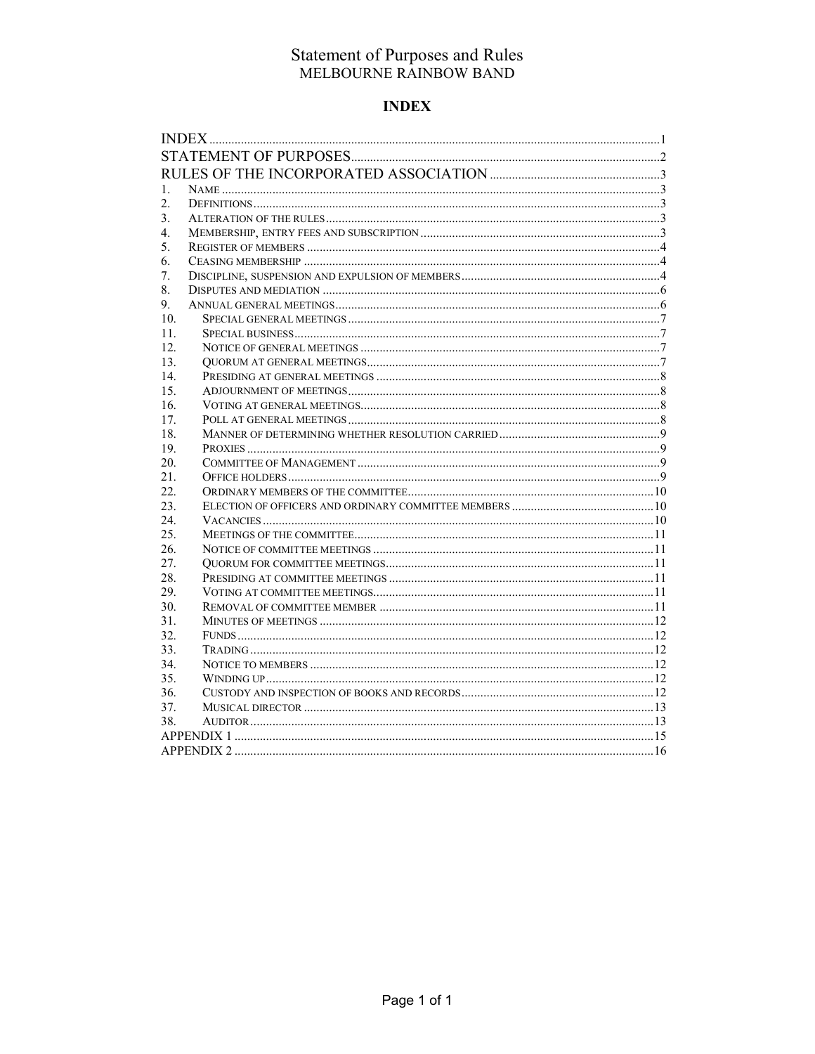# **INDEX**

| 1.               |  |  |
|------------------|--|--|
| $\overline{2}$ . |  |  |
| 3.               |  |  |
| 4.               |  |  |
| 5.               |  |  |
| 6.               |  |  |
| 7.               |  |  |
| 8.               |  |  |
| 9.               |  |  |
| 10.              |  |  |
| 11.              |  |  |
| 12.              |  |  |
| 13.              |  |  |
| 14.              |  |  |
| 15.              |  |  |
| 16.              |  |  |
| 17.              |  |  |
| 18.              |  |  |
| 19.              |  |  |
| 20.              |  |  |
| 21.              |  |  |
| 22.              |  |  |
| 23.              |  |  |
| 24.              |  |  |
| 25.              |  |  |
| 26.              |  |  |
| 27.              |  |  |
| 28.              |  |  |
| 29.              |  |  |
| 30.              |  |  |
| 31.              |  |  |
| 32.              |  |  |
| 33.              |  |  |
| 34.              |  |  |
| 35.              |  |  |
| 36.              |  |  |
| 37.              |  |  |
| 38.              |  |  |
|                  |  |  |
|                  |  |  |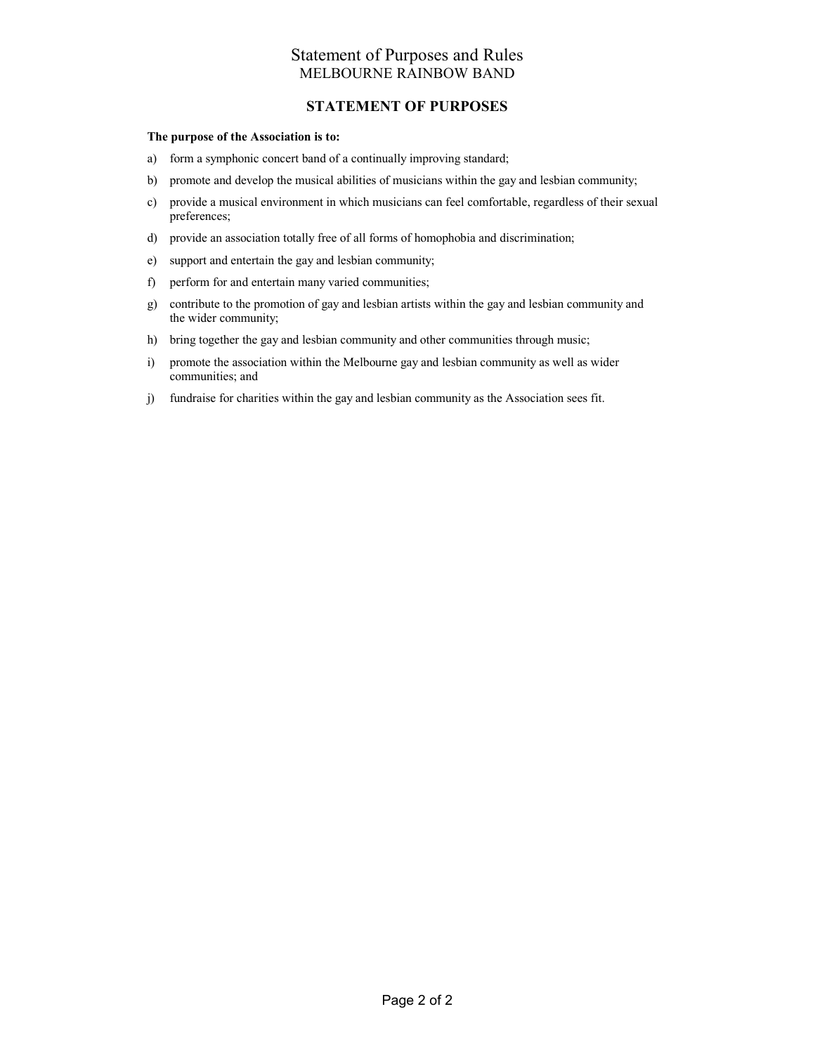### STATEMENT OF PURPOSES

### The purpose of the Association is to:

- a) form a symphonic concert band of a continually improving standard;
- b) promote and develop the musical abilities of musicians within the gay and lesbian community;
- c) provide a musical environment in which musicians can feel comfortable, regardless of their sexual preferences;
- d) provide an association totally free of all forms of homophobia and discrimination;
- e) support and entertain the gay and lesbian community;
- f) perform for and entertain many varied communities;
- g) contribute to the promotion of gay and lesbian artists within the gay and lesbian community and the wider community;
- h) bring together the gay and lesbian community and other communities through music;
- i) promote the association within the Melbourne gay and lesbian community as well as wider communities; and
- j) fundraise for charities within the gay and lesbian community as the Association sees fit.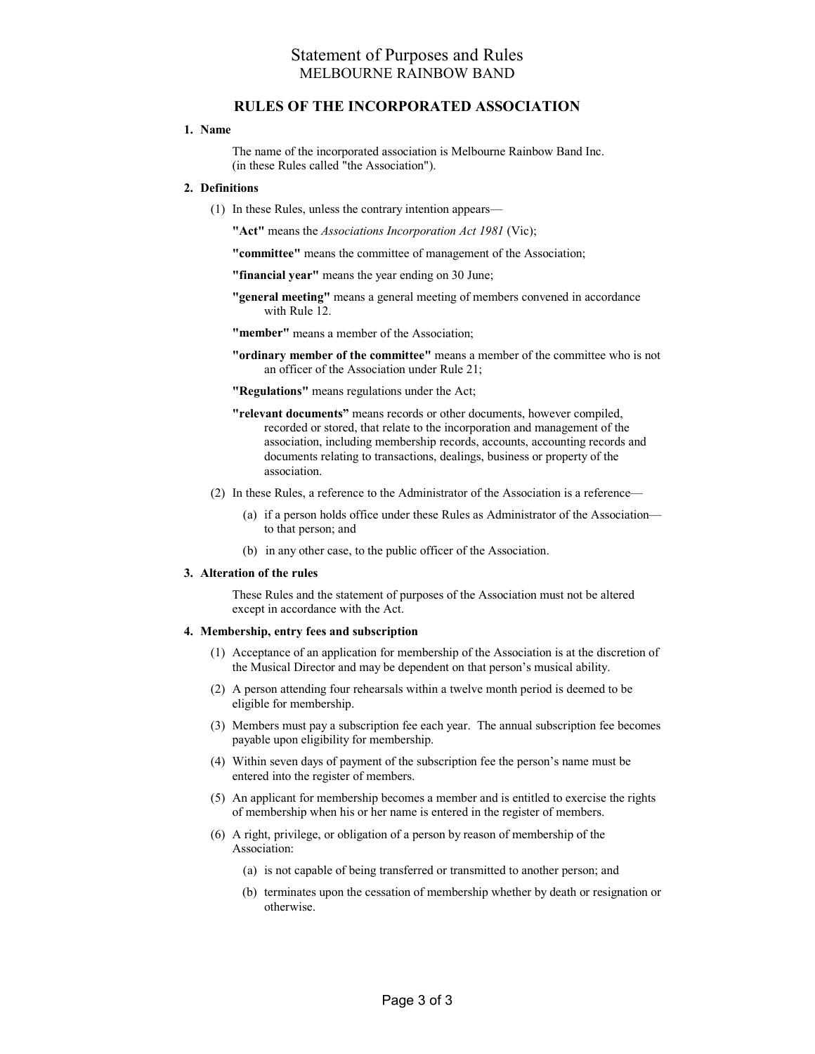### RULES OF THE INCORPORATED ASSOCIATION

### 1. Name

The name of the incorporated association is Melbourne Rainbow Band Inc. (in these Rules called "the Association").

### 2. Definitions

(1) In these Rules, unless the contrary intention appears—

"Act" means the *Associations Incorporation Act 1981* (Vic);

"committee" means the committee of management of the Association;

"financial year" means the year ending on 30 June;

"general meeting" means a general meeting of members convened in accordance with Rule 12.

"member" means a member of the Association;

"ordinary member of the committee" means a member of the committee who is not an officer of the Association under Rule 21;

"Regulations" means regulations under the Act;

- "relevant documents" means records or other documents, however compiled, recorded or stored, that relate to the incorporation and management of the association, including membership records, accounts, accounting records and documents relating to transactions, dealings, business or property of the association.
- (2) In these Rules, a reference to the Administrator of the Association is a reference—
	- (a) if a person holds office under these Rules as Administrator of the Association to that person; and
	- (b) in any other case, to the public officer of the Association.

#### 3. Alteration of the rules

These Rules and the statement of purposes of the Association must not be altered except in accordance with the Act.

#### 4. Membership, entry fees and subscription

- (1) Acceptance of an application for membership of the Association is at the discretion of the Musical Director and may be dependent on that person's musical ability.
- (2) A person attending four rehearsals within a twelve month period is deemed to be eligible for membership.
- (3) Members must pay a subscription fee each year. The annual subscription fee becomes payable upon eligibility for membership.
- (4) Within seven days of payment of the subscription fee the person's name must be entered into the register of members.
- (5) An applicant for membership becomes a member and is entitled to exercise the rights of membership when his or her name is entered in the register of members.
- (6) A right, privilege, or obligation of a person by reason of membership of the Association:
	- (a) is not capable of being transferred or transmitted to another person; and
	- (b) terminates upon the cessation of membership whether by death or resignation or otherwise.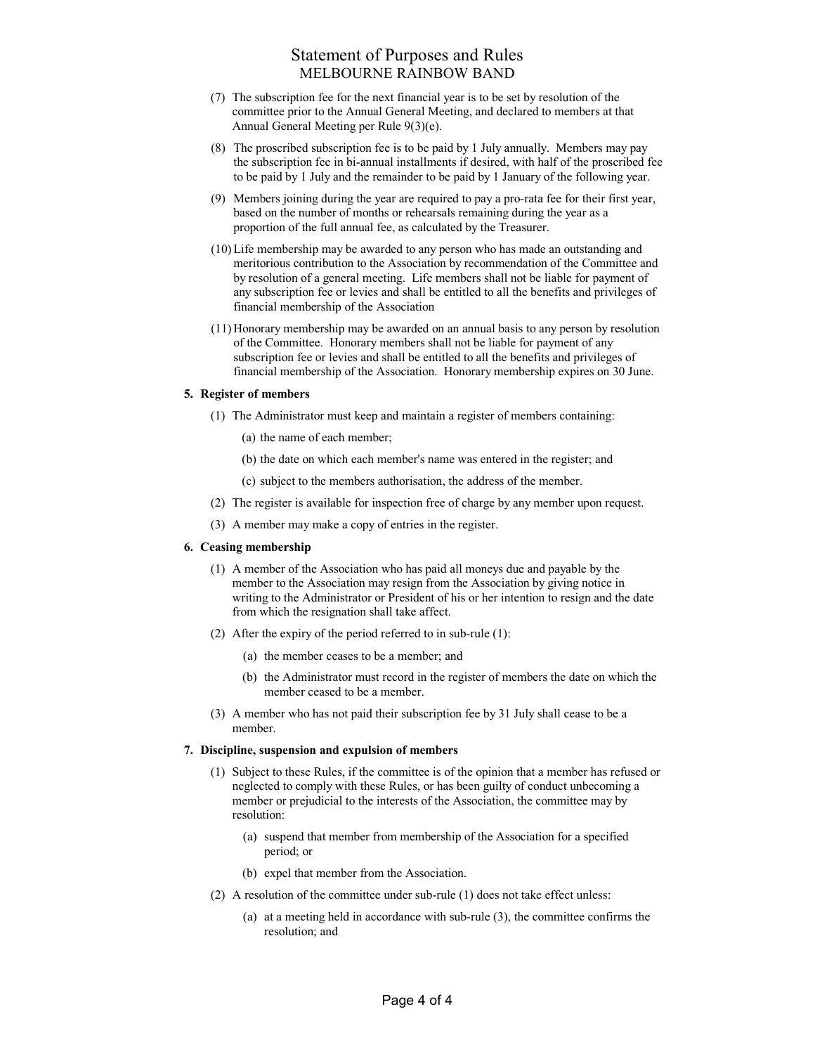- (7) The subscription fee for the next financial year is to be set by resolution of the committee prior to the Annual General Meeting, and declared to members at that Annual General Meeting per Rule 9(3)(e).
- (8) The proscribed subscription fee is to be paid by 1 July annually. Members may pay the subscription fee in bi-annual installments if desired, with half of the proscribed fee to be paid by 1 July and the remainder to be paid by 1 January of the following year.
- (9) Members joining during the year are required to pay a pro-rata fee for their first year, based on the number of months or rehearsals remaining during the year as a proportion of the full annual fee, as calculated by the Treasurer.
- (10) Life membership may be awarded to any person who has made an outstanding and meritorious contribution to the Association by recommendation of the Committee and by resolution of a general meeting. Life members shall not be liable for payment of any subscription fee or levies and shall be entitled to all the benefits and privileges of financial membership of the Association
- (11) Honorary membership may be awarded on an annual basis to any person by resolution of the Committee. Honorary members shall not be liable for payment of any subscription fee or levies and shall be entitled to all the benefits and privileges of financial membership of the Association. Honorary membership expires on 30 June.

### 5. Register of members

- (1) The Administrator must keep and maintain a register of members containing:
	- (a) the name of each member;
	- (b) the date on which each member's name was entered in the register; and
	- (c) subject to the members authorisation, the address of the member.
- (2) The register is available for inspection free of charge by any member upon request.
- (3) A member may make a copy of entries in the register.

### 6. Ceasing membership

- (1) A member of the Association who has paid all moneys due and payable by the member to the Association may resign from the Association by giving notice in writing to the Administrator or President of his or her intention to resign and the date from which the resignation shall take affect.
- (2) After the expiry of the period referred to in sub-rule (1):
	- (a) the member ceases to be a member; and
	- (b) the Administrator must record in the register of members the date on which the member ceased to be a member.
- (3) A member who has not paid their subscription fee by 31 July shall cease to be a member.

### 7. Discipline, suspension and expulsion of members

- (1) Subject to these Rules, if the committee is of the opinion that a member has refused or neglected to comply with these Rules, or has been guilty of conduct unbecoming a member or prejudicial to the interests of the Association, the committee may by resolution:
	- (a) suspend that member from membership of the Association for a specified period; or
	- (b) expel that member from the Association.
- (2) A resolution of the committee under sub-rule (1) does not take effect unless:
	- (a) at a meeting held in accordance with sub-rule (3), the committee confirms the resolution; and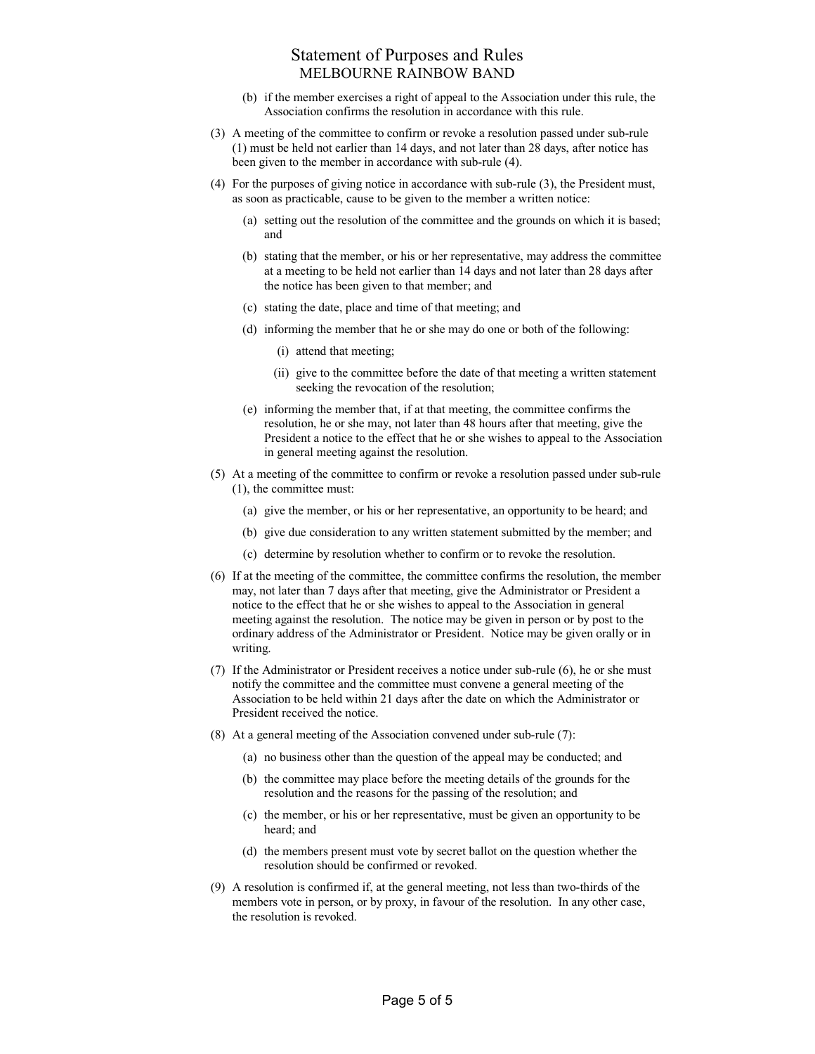- (b) if the member exercises a right of appeal to the Association under this rule, the Association confirms the resolution in accordance with this rule.
- (3) A meeting of the committee to confirm or revoke a resolution passed under sub-rule (1) must be held not earlier than 14 days, and not later than 28 days, after notice has been given to the member in accordance with sub-rule (4).
- (4) For the purposes of giving notice in accordance with sub-rule (3), the President must, as soon as practicable, cause to be given to the member a written notice:
	- (a) setting out the resolution of the committee and the grounds on which it is based; and
	- (b) stating that the member, or his or her representative, may address the committee at a meeting to be held not earlier than 14 days and not later than 28 days after the notice has been given to that member; and
	- (c) stating the date, place and time of that meeting; and
	- (d) informing the member that he or she may do one or both of the following:
		- (i) attend that meeting;
		- (ii) give to the committee before the date of that meeting a written statement seeking the revocation of the resolution;
	- (e) informing the member that, if at that meeting, the committee confirms the resolution, he or she may, not later than 48 hours after that meeting, give the President a notice to the effect that he or she wishes to appeal to the Association in general meeting against the resolution.
- (5) At a meeting of the committee to confirm or revoke a resolution passed under sub-rule (1), the committee must:
	- (a) give the member, or his or her representative, an opportunity to be heard; and
	- (b) give due consideration to any written statement submitted by the member; and
	- (c) determine by resolution whether to confirm or to revoke the resolution.
- (6) If at the meeting of the committee, the committee confirms the resolution, the member may, not later than 7 days after that meeting, give the Administrator or President a notice to the effect that he or she wishes to appeal to the Association in general meeting against the resolution. The notice may be given in person or by post to the ordinary address of the Administrator or President. Notice may be given orally or in writing.
- (7) If the Administrator or President receives a notice under sub-rule (6), he or she must notify the committee and the committee must convene a general meeting of the Association to be held within 21 days after the date on which the Administrator or President received the notice.
- (8) At a general meeting of the Association convened under sub-rule (7):
	- (a) no business other than the question of the appeal may be conducted; and
	- (b) the committee may place before the meeting details of the grounds for the resolution and the reasons for the passing of the resolution; and
	- (c) the member, or his or her representative, must be given an opportunity to be heard; and
	- (d) the members present must vote by secret ballot on the question whether the resolution should be confirmed or revoked.
- (9) A resolution is confirmed if, at the general meeting, not less than two-thirds of the members vote in person, or by proxy, in favour of the resolution. In any other case, the resolution is revoked.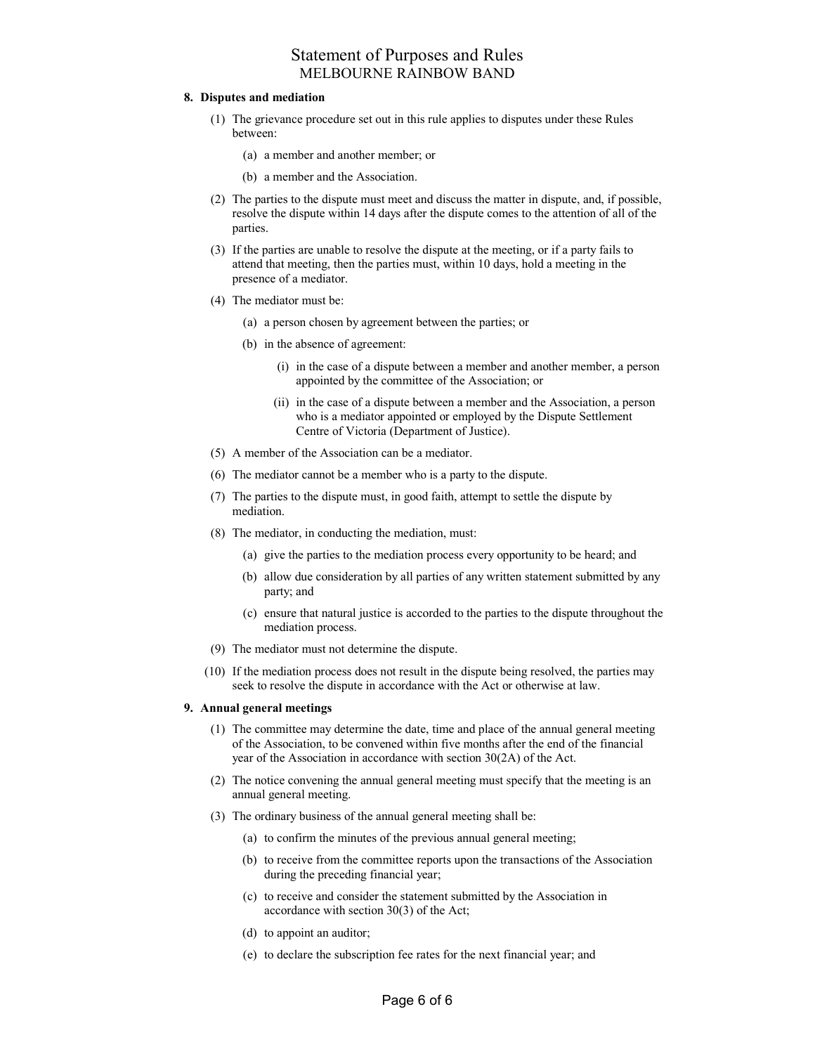#### 8. Disputes and mediation

- (1) The grievance procedure set out in this rule applies to disputes under these Rules between:
	- (a) a member and another member; or
	- (b) a member and the Association.
- (2) The parties to the dispute must meet and discuss the matter in dispute, and, if possible, resolve the dispute within 14 days after the dispute comes to the attention of all of the parties.
- (3) If the parties are unable to resolve the dispute at the meeting, or if a party fails to attend that meeting, then the parties must, within 10 days, hold a meeting in the presence of a mediator.
- (4) The mediator must be:
	- (a) a person chosen by agreement between the parties; or
	- (b) in the absence of agreement:
		- (i) in the case of a dispute between a member and another member, a person appointed by the committee of the Association; or
		- (ii) in the case of a dispute between a member and the Association, a person who is a mediator appointed or employed by the Dispute Settlement Centre of Victoria (Department of Justice).
- (5) A member of the Association can be a mediator.
- (6) The mediator cannot be a member who is a party to the dispute.
- (7) The parties to the dispute must, in good faith, attempt to settle the dispute by mediation.
- (8) The mediator, in conducting the mediation, must:
	- (a) give the parties to the mediation process every opportunity to be heard; and
	- (b) allow due consideration by all parties of any written statement submitted by any party; and
	- (c) ensure that natural justice is accorded to the parties to the dispute throughout the mediation process.
- (9) The mediator must not determine the dispute.
- (10) If the mediation process does not result in the dispute being resolved, the parties may seek to resolve the dispute in accordance with the Act or otherwise at law.

#### 9. Annual general meetings

- (1) The committee may determine the date, time and place of the annual general meeting of the Association, to be convened within five months after the end of the financial year of the Association in accordance with section 30(2A) of the Act.
- (2) The notice convening the annual general meeting must specify that the meeting is an annual general meeting.
- (3) The ordinary business of the annual general meeting shall be:
	- (a) to confirm the minutes of the previous annual general meeting;
	- (b) to receive from the committee reports upon the transactions of the Association during the preceding financial year;
	- (c) to receive and consider the statement submitted by the Association in accordance with section 30(3) of the Act;
	- (d) to appoint an auditor;
	- (e) to declare the subscription fee rates for the next financial year; and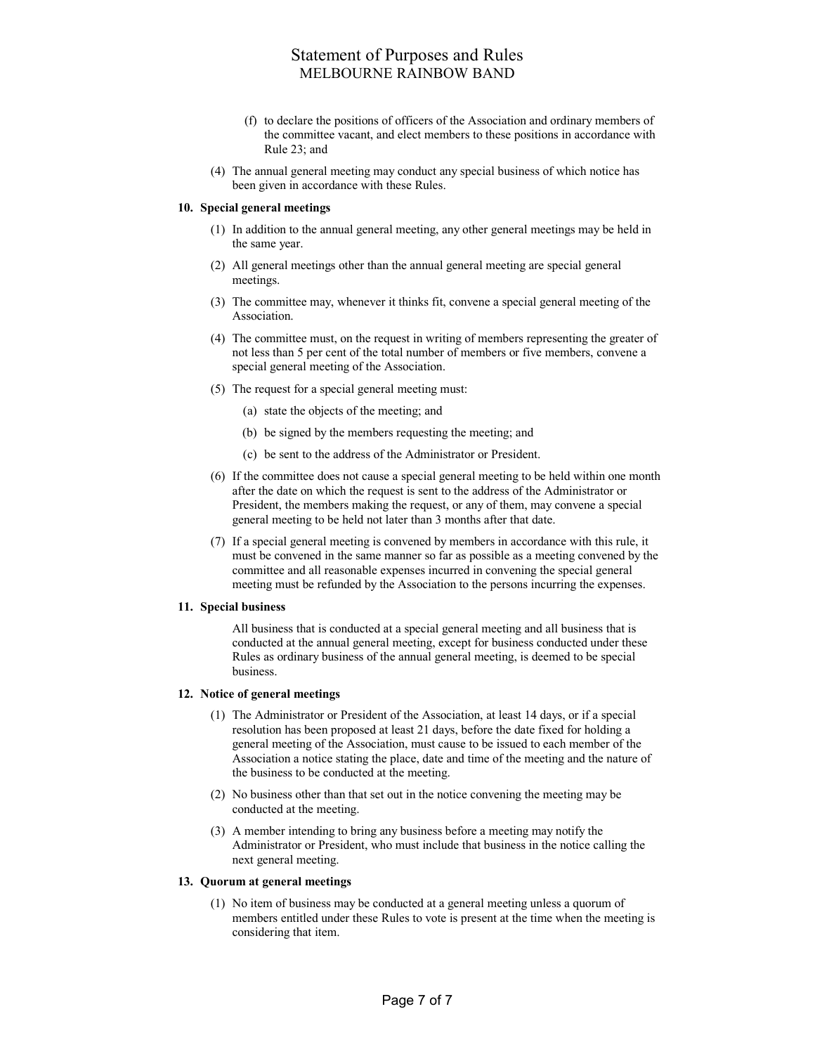- (f) to declare the positions of officers of the Association and ordinary members of the committee vacant, and elect members to these positions in accordance with Rule 23; and
- (4) The annual general meeting may conduct any special business of which notice has been given in accordance with these Rules.

### 10. Special general meetings

- (1) In addition to the annual general meeting, any other general meetings may be held in the same year.
- (2) All general meetings other than the annual general meeting are special general meetings.
- (3) The committee may, whenever it thinks fit, convene a special general meeting of the Association.
- (4) The committee must, on the request in writing of members representing the greater of not less than 5 per cent of the total number of members or five members, convene a special general meeting of the Association.
- (5) The request for a special general meeting must:
	- (a) state the objects of the meeting; and
	- (b) be signed by the members requesting the meeting; and
	- (c) be sent to the address of the Administrator or President.
- (6) If the committee does not cause a special general meeting to be held within one month after the date on which the request is sent to the address of the Administrator or President, the members making the request, or any of them, may convene a special general meeting to be held not later than 3 months after that date.
- (7) If a special general meeting is convened by members in accordance with this rule, it must be convened in the same manner so far as possible as a meeting convened by the committee and all reasonable expenses incurred in convening the special general meeting must be refunded by the Association to the persons incurring the expenses.

#### 11. Special business

All business that is conducted at a special general meeting and all business that is conducted at the annual general meeting, except for business conducted under these Rules as ordinary business of the annual general meeting, is deemed to be special business.

#### 12. Notice of general meetings

- (1) The Administrator or President of the Association, at least 14 days, or if a special resolution has been proposed at least 21 days, before the date fixed for holding a general meeting of the Association, must cause to be issued to each member of the Association a notice stating the place, date and time of the meeting and the nature of the business to be conducted at the meeting.
- (2) No business other than that set out in the notice convening the meeting may be conducted at the meeting.
- (3) A member intending to bring any business before a meeting may notify the Administrator or President, who must include that business in the notice calling the next general meeting.

### 13. Quorum at general meetings

 (1) No item of business may be conducted at a general meeting unless a quorum of members entitled under these Rules to vote is present at the time when the meeting is considering that item.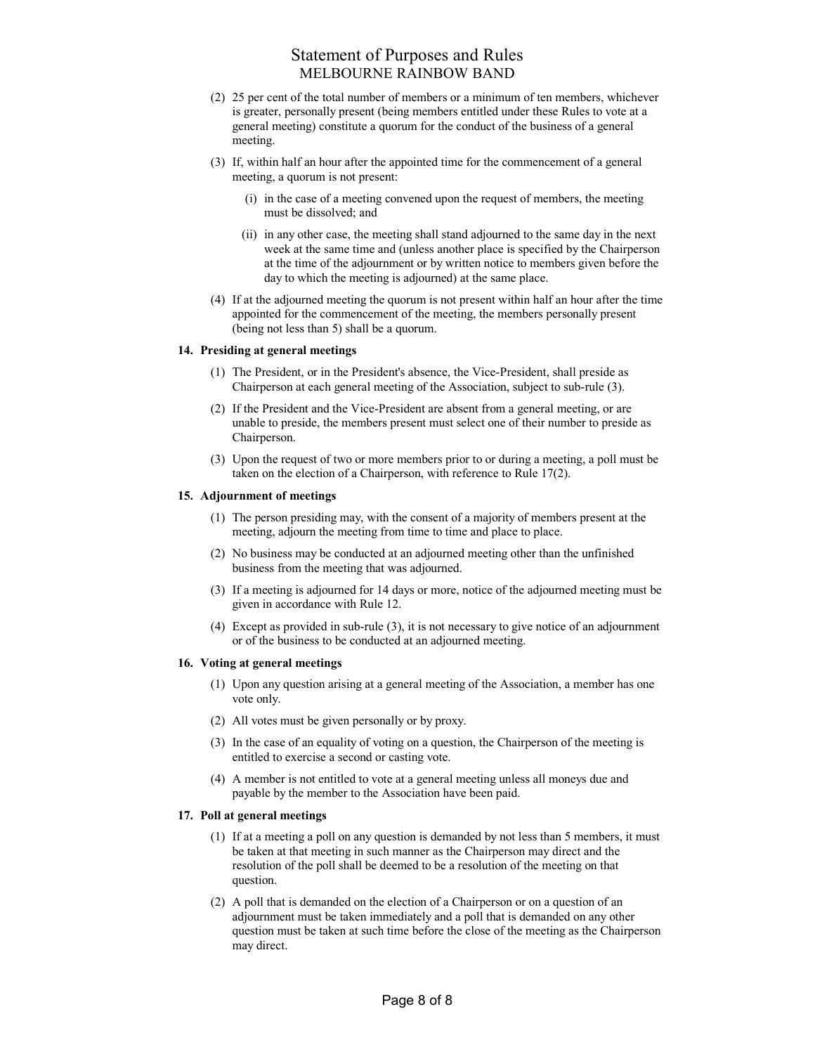- (2) 25 per cent of the total number of members or a minimum of ten members, whichever is greater, personally present (being members entitled under these Rules to vote at a general meeting) constitute a quorum for the conduct of the business of a general meeting.
- (3) If, within half an hour after the appointed time for the commencement of a general meeting, a quorum is not present:
	- (i) in the case of a meeting convened upon the request of members, the meeting must be dissolved; and
	- (ii) in any other case, the meeting shall stand adjourned to the same day in the next week at the same time and (unless another place is specified by the Chairperson at the time of the adjournment or by written notice to members given before the day to which the meeting is adjourned) at the same place.
- (4) If at the adjourned meeting the quorum is not present within half an hour after the time appointed for the commencement of the meeting, the members personally present (being not less than 5) shall be a quorum.

### 14. Presiding at general meetings

- (1) The President, or in the President's absence, the Vice-President, shall preside as Chairperson at each general meeting of the Association, subject to sub-rule (3).
- (2) If the President and the Vice-President are absent from a general meeting, or are unable to preside, the members present must select one of their number to preside as Chairperson.
- (3) Upon the request of two or more members prior to or during a meeting, a poll must be taken on the election of a Chairperson, with reference to Rule 17(2).

### 15. Adjournment of meetings

- (1) The person presiding may, with the consent of a majority of members present at the meeting, adjourn the meeting from time to time and place to place.
- (2) No business may be conducted at an adjourned meeting other than the unfinished business from the meeting that was adjourned.
- (3) If a meeting is adjourned for 14 days or more, notice of the adjourned meeting must be given in accordance with Rule 12.
- (4) Except as provided in sub-rule (3), it is not necessary to give notice of an adjournment or of the business to be conducted at an adjourned meeting.

#### 16. Voting at general meetings

- (1) Upon any question arising at a general meeting of the Association, a member has one vote only.
- (2) All votes must be given personally or by proxy.
- (3) In the case of an equality of voting on a question, the Chairperson of the meeting is entitled to exercise a second or casting vote.
- (4) A member is not entitled to vote at a general meeting unless all moneys due and payable by the member to the Association have been paid.

### 17. Poll at general meetings

- (1) If at a meeting a poll on any question is demanded by not less than 5 members, it must be taken at that meeting in such manner as the Chairperson may direct and the resolution of the poll shall be deemed to be a resolution of the meeting on that question.
- (2) A poll that is demanded on the election of a Chairperson or on a question of an adjournment must be taken immediately and a poll that is demanded on any other question must be taken at such time before the close of the meeting as the Chairperson may direct.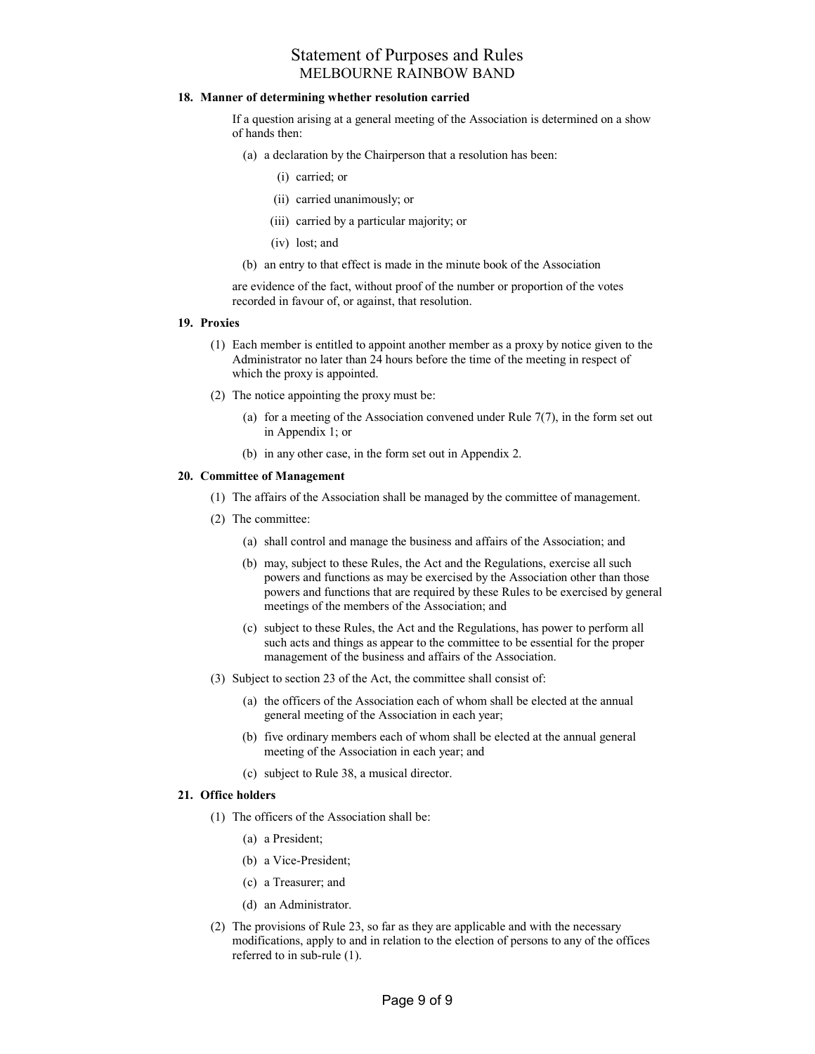### 18. Manner of determining whether resolution carried

If a question arising at a general meeting of the Association is determined on a show of hands then:

- (a) a declaration by the Chairperson that a resolution has been:
	- (i) carried; or
	- (ii) carried unanimously; or
	- (iii) carried by a particular majority; or
	- (iv) lost; and
- (b) an entry to that effect is made in the minute book of the Association

are evidence of the fact, without proof of the number or proportion of the votes recorded in favour of, or against, that resolution.

#### 19. Proxies

- (1) Each member is entitled to appoint another member as a proxy by notice given to the Administrator no later than 24 hours before the time of the meeting in respect of which the proxy is appointed.
- (2) The notice appointing the proxy must be:
	- (a) for a meeting of the Association convened under Rule  $7(7)$ , in the form set out in Appendix 1; or
	- (b) in any other case, in the form set out in Appendix 2.

### 20. Committee of Management

- (1) The affairs of the Association shall be managed by the committee of management.
- (2) The committee:
	- (a) shall control and manage the business and affairs of the Association; and
	- (b) may, subject to these Rules, the Act and the Regulations, exercise all such powers and functions as may be exercised by the Association other than those powers and functions that are required by these Rules to be exercised by general meetings of the members of the Association; and
	- (c) subject to these Rules, the Act and the Regulations, has power to perform all such acts and things as appear to the committee to be essential for the proper management of the business and affairs of the Association.
- (3) Subject to section 23 of the Act, the committee shall consist of:
	- (a) the officers of the Association each of whom shall be elected at the annual general meeting of the Association in each year;
	- (b) five ordinary members each of whom shall be elected at the annual general meeting of the Association in each year; and
	- (c) subject to Rule 38, a musical director.

### 21. Office holders

- (1) The officers of the Association shall be:
	- (a) a President;
	- (b) a Vice-President;
	- (c) a Treasurer; and
	- (d) an Administrator.
- (2) The provisions of Rule 23, so far as they are applicable and with the necessary modifications, apply to and in relation to the election of persons to any of the offices referred to in sub-rule (1).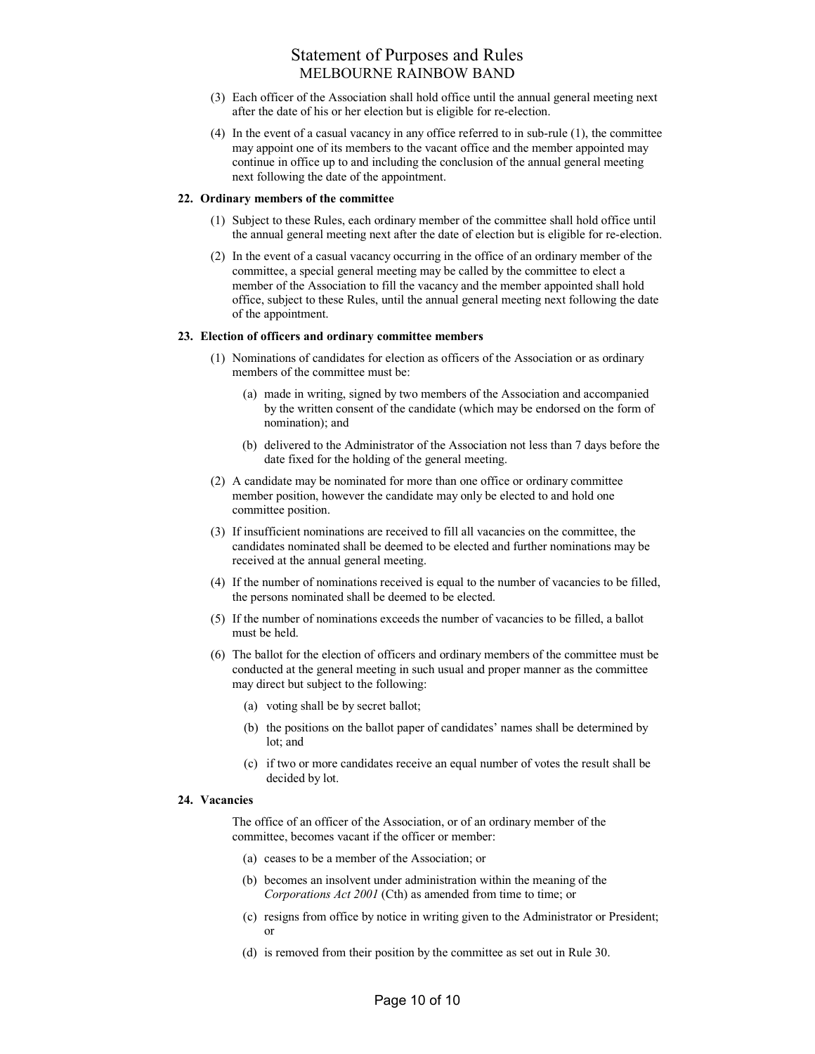- (3) Each officer of the Association shall hold office until the annual general meeting next after the date of his or her election but is eligible for re-election.
- (4) In the event of a casual vacancy in any office referred to in sub-rule (1), the committee may appoint one of its members to the vacant office and the member appointed may continue in office up to and including the conclusion of the annual general meeting next following the date of the appointment.

### 22. Ordinary members of the committee

- (1) Subject to these Rules, each ordinary member of the committee shall hold office until the annual general meeting next after the date of election but is eligible for re-election.
- (2) In the event of a casual vacancy occurring in the office of an ordinary member of the committee, a special general meeting may be called by the committee to elect a member of the Association to fill the vacancy and the member appointed shall hold office, subject to these Rules, until the annual general meeting next following the date of the appointment.

### 23. Election of officers and ordinary committee members

- (1) Nominations of candidates for election as officers of the Association or as ordinary members of the committee must be:
	- (a) made in writing, signed by two members of the Association and accompanied by the written consent of the candidate (which may be endorsed on the form of nomination); and
	- (b) delivered to the Administrator of the Association not less than 7 days before the date fixed for the holding of the general meeting.
- (2) A candidate may be nominated for more than one office or ordinary committee member position, however the candidate may only be elected to and hold one committee position.
- (3) If insufficient nominations are received to fill all vacancies on the committee, the candidates nominated shall be deemed to be elected and further nominations may be received at the annual general meeting.
- (4) If the number of nominations received is equal to the number of vacancies to be filled, the persons nominated shall be deemed to be elected.
- (5) If the number of nominations exceeds the number of vacancies to be filled, a ballot must be held.
- (6) The ballot for the election of officers and ordinary members of the committee must be conducted at the general meeting in such usual and proper manner as the committee may direct but subject to the following:
	- (a) voting shall be by secret ballot;
	- (b) the positions on the ballot paper of candidates' names shall be determined by lot; and
	- (c) if two or more candidates receive an equal number of votes the result shall be decided by lot.

### 24. Vacancies

The office of an officer of the Association, or of an ordinary member of the committee, becomes vacant if the officer or member:

- (a) ceases to be a member of the Association; or
- (b) becomes an insolvent under administration within the meaning of the Corporations Act 2001 (Cth) as amended from time to time; or
- (c) resigns from office by notice in writing given to the Administrator or President; or
- (d) is removed from their position by the committee as set out in Rule 30.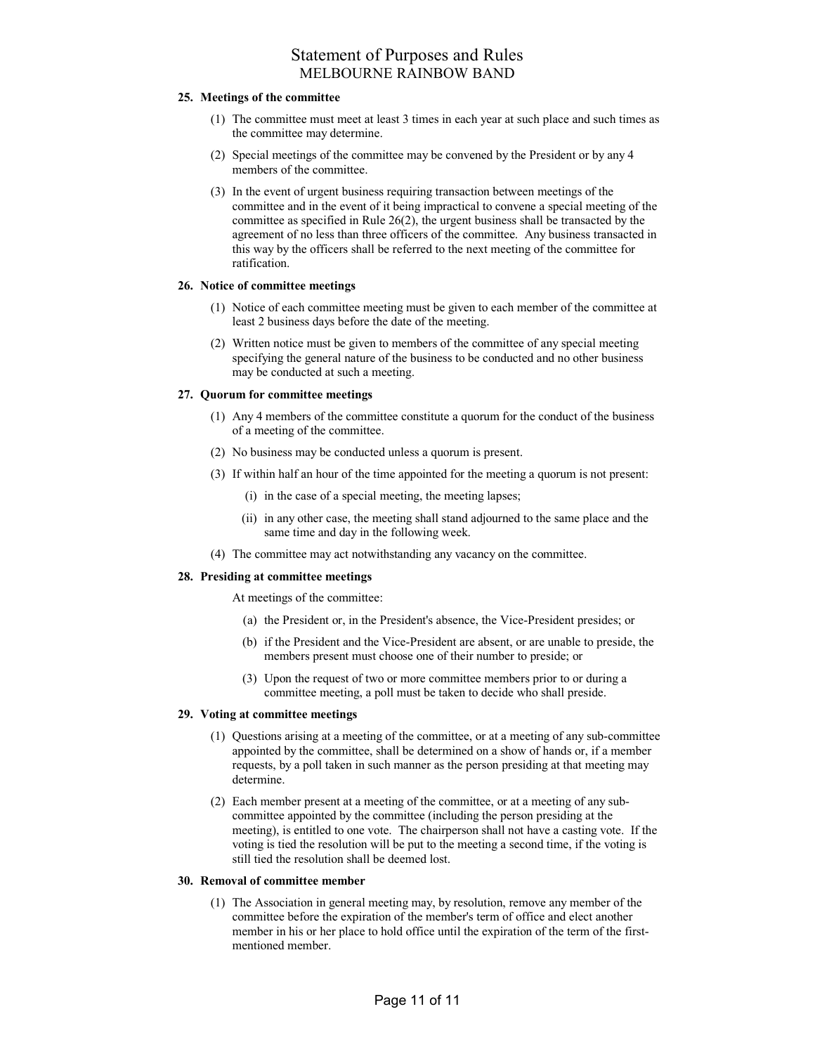### 25. Meetings of the committee

- (1) The committee must meet at least 3 times in each year at such place and such times as the committee may determine.
- (2) Special meetings of the committee may be convened by the President or by any 4 members of the committee.
- (3) In the event of urgent business requiring transaction between meetings of the committee and in the event of it being impractical to convene a special meeting of the committee as specified in Rule 26(2), the urgent business shall be transacted by the agreement of no less than three officers of the committee. Any business transacted in this way by the officers shall be referred to the next meeting of the committee for ratification.

### 26. Notice of committee meetings

- (1) Notice of each committee meeting must be given to each member of the committee at least 2 business days before the date of the meeting.
- (2) Written notice must be given to members of the committee of any special meeting specifying the general nature of the business to be conducted and no other business may be conducted at such a meeting.

### 27. Quorum for committee meetings

- (1) Any 4 members of the committee constitute a quorum for the conduct of the business of a meeting of the committee.
- (2) No business may be conducted unless a quorum is present.
- (3) If within half an hour of the time appointed for the meeting a quorum is not present:
	- (i) in the case of a special meeting, the meeting lapses;
	- (ii) in any other case, the meeting shall stand adjourned to the same place and the same time and day in the following week.
- (4) The committee may act notwithstanding any vacancy on the committee.

### 28. Presiding at committee meetings

At meetings of the committee:

- (a) the President or, in the President's absence, the Vice-President presides; or
- (b) if the President and the Vice-President are absent, or are unable to preside, the members present must choose one of their number to preside; or
- (3) Upon the request of two or more committee members prior to or during a committee meeting, a poll must be taken to decide who shall preside.

### 29. Voting at committee meetings

- (1) Questions arising at a meeting of the committee, or at a meeting of any sub-committee appointed by the committee, shall be determined on a show of hands or, if a member requests, by a poll taken in such manner as the person presiding at that meeting may determine.
- (2) Each member present at a meeting of the committee, or at a meeting of any subcommittee appointed by the committee (including the person presiding at the meeting), is entitled to one vote. The chairperson shall not have a casting vote. If the voting is tied the resolution will be put to the meeting a second time, if the voting is still tied the resolution shall be deemed lost.

#### 30. Removal of committee member

 (1) The Association in general meeting may, by resolution, remove any member of the committee before the expiration of the member's term of office and elect another member in his or her place to hold office until the expiration of the term of the firstmentioned member.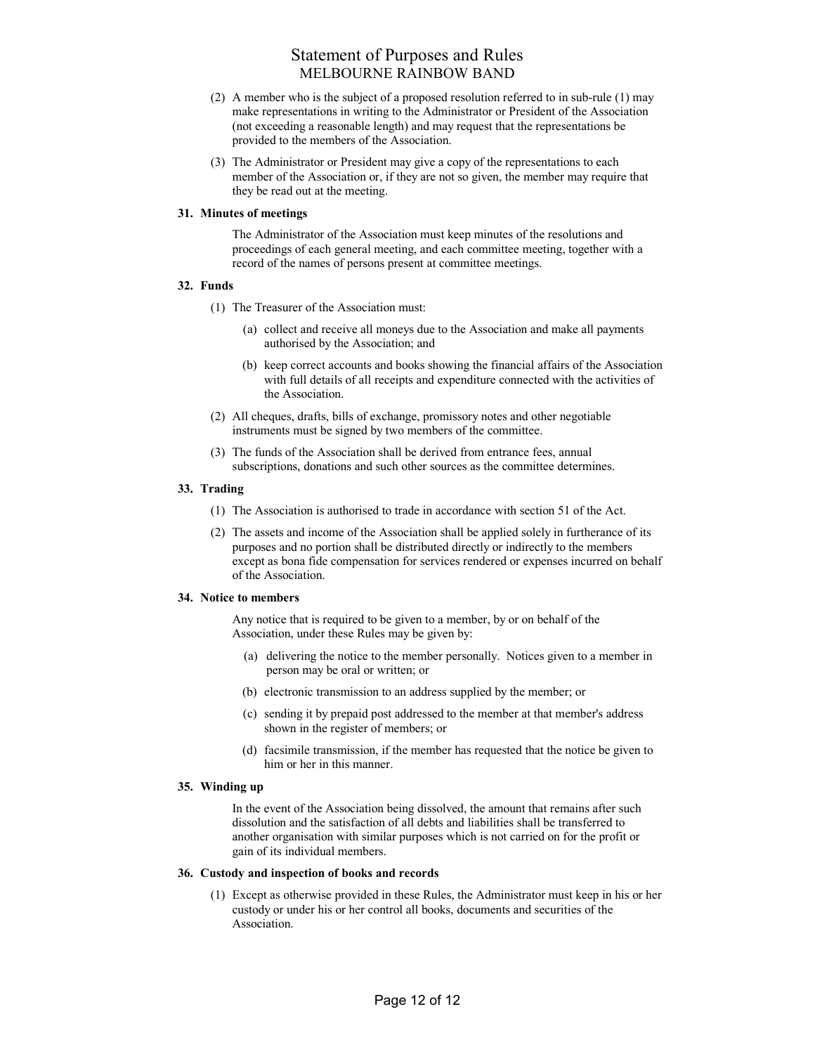- (2) A member who is the subject of a proposed resolution referred to in sub-rule (1) may make representations in writing to the Administrator or President of the Association (not exceeding a reasonable length) and may request that the representations be provided to the members of the Association.
- (3) The Administrator or President may give a copy of the representations to each member of the Association or, if they are not so given, the member may require that they be read out at the meeting.

### 31. Minutes of meetings

The Administrator of the Association must keep minutes of the resolutions and proceedings of each general meeting, and each committee meeting, together with a record of the names of persons present at committee meetings.

### 32. Funds

- (1) The Treasurer of the Association must:
	- (a) collect and receive all moneys due to the Association and make all payments authorised by the Association; and
	- (b) keep correct accounts and books showing the financial affairs of the Association with full details of all receipts and expenditure connected with the activities of the Association.
- (2) All cheques, drafts, bills of exchange, promissory notes and other negotiable instruments must be signed by two members of the committee.
- (3) The funds of the Association shall be derived from entrance fees, annual subscriptions, donations and such other sources as the committee determines.

### 33. Trading

- (1) The Association is authorised to trade in accordance with section 51 of the Act.
- (2) The assets and income of the Association shall be applied solely in furtherance of its purposes and no portion shall be distributed directly or indirectly to the members except as bona fide compensation for services rendered or expenses incurred on behalf of the Association.

### 34. Notice to members

Any notice that is required to be given to a member, by or on behalf of the Association, under these Rules may be given by:

- (a) delivering the notice to the member personally. Notices given to a member in person may be oral or written; or
- (b) electronic transmission to an address supplied by the member; or
- (c) sending it by prepaid post addressed to the member at that member's address shown in the register of members; or
- (d) facsimile transmission, if the member has requested that the notice be given to him or her in this manner.

#### 35. Winding up

In the event of the Association being dissolved, the amount that remains after such dissolution and the satisfaction of all debts and liabilities shall be transferred to another organisation with similar purposes which is not carried on for the profit or gain of its individual members.

#### 36. Custody and inspection of books and records

 (1) Except as otherwise provided in these Rules, the Administrator must keep in his or her custody or under his or her control all books, documents and securities of the Association.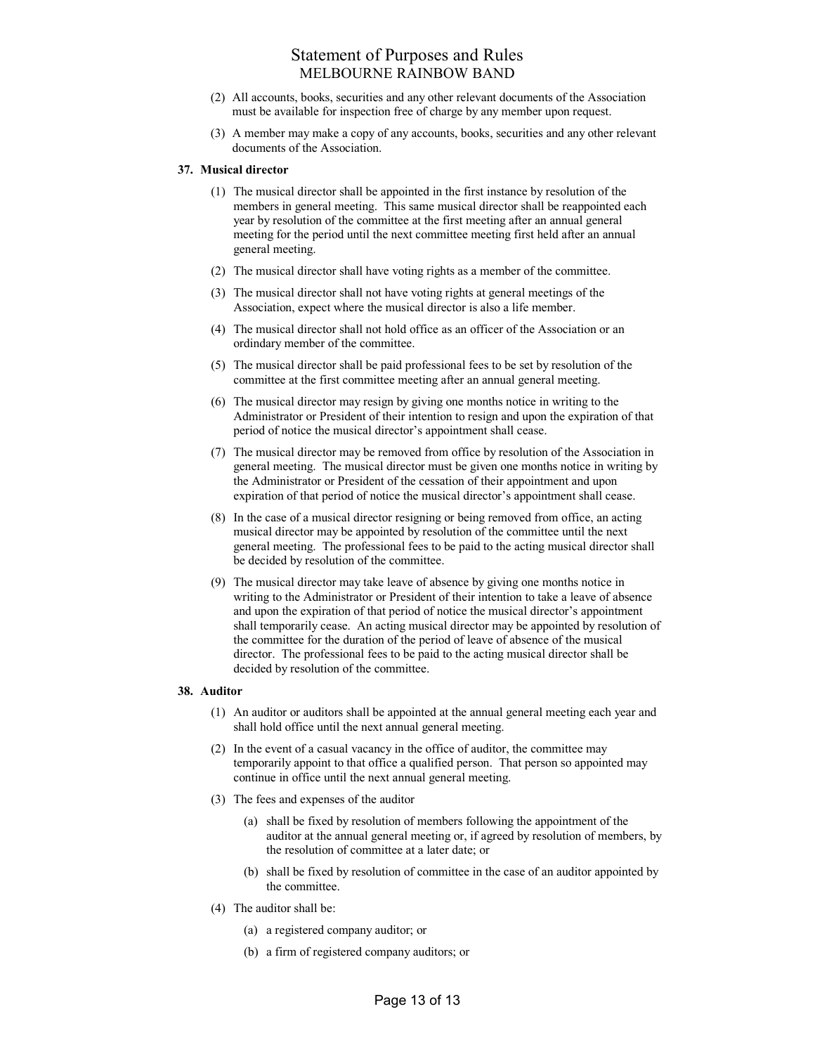- (2) All accounts, books, securities and any other relevant documents of the Association must be available for inspection free of charge by any member upon request.
- (3) A member may make a copy of any accounts, books, securities and any other relevant documents of the Association.

### 37. Musical director

- (1) The musical director shall be appointed in the first instance by resolution of the members in general meeting. This same musical director shall be reappointed each year by resolution of the committee at the first meeting after an annual general meeting for the period until the next committee meeting first held after an annual general meeting.
- (2) The musical director shall have voting rights as a member of the committee.
- (3) The musical director shall not have voting rights at general meetings of the Association, expect where the musical director is also a life member.
- (4) The musical director shall not hold office as an officer of the Association or an ordindary member of the committee.
- (5) The musical director shall be paid professional fees to be set by resolution of the committee at the first committee meeting after an annual general meeting.
- (6) The musical director may resign by giving one months notice in writing to the Administrator or President of their intention to resign and upon the expiration of that period of notice the musical director's appointment shall cease.
- (7) The musical director may be removed from office by resolution of the Association in general meeting. The musical director must be given one months notice in writing by the Administrator or President of the cessation of their appointment and upon expiration of that period of notice the musical director's appointment shall cease.
- (8) In the case of a musical director resigning or being removed from office, an acting musical director may be appointed by resolution of the committee until the next general meeting. The professional fees to be paid to the acting musical director shall be decided by resolution of the committee.
- (9) The musical director may take leave of absence by giving one months notice in writing to the Administrator or President of their intention to take a leave of absence and upon the expiration of that period of notice the musical director's appointment shall temporarily cease. An acting musical director may be appointed by resolution of the committee for the duration of the period of leave of absence of the musical director. The professional fees to be paid to the acting musical director shall be decided by resolution of the committee.

#### 38. Auditor

- (1) An auditor or auditors shall be appointed at the annual general meeting each year and shall hold office until the next annual general meeting.
- (2) In the event of a casual vacancy in the office of auditor, the committee may temporarily appoint to that office a qualified person. That person so appointed may continue in office until the next annual general meeting.
- (3) The fees and expenses of the auditor
	- (a) shall be fixed by resolution of members following the appointment of the auditor at the annual general meeting or, if agreed by resolution of members, by the resolution of committee at a later date; or
	- (b) shall be fixed by resolution of committee in the case of an auditor appointed by the committee.
- (4) The auditor shall be:
	- (a) a registered company auditor; or
	- (b) a firm of registered company auditors; or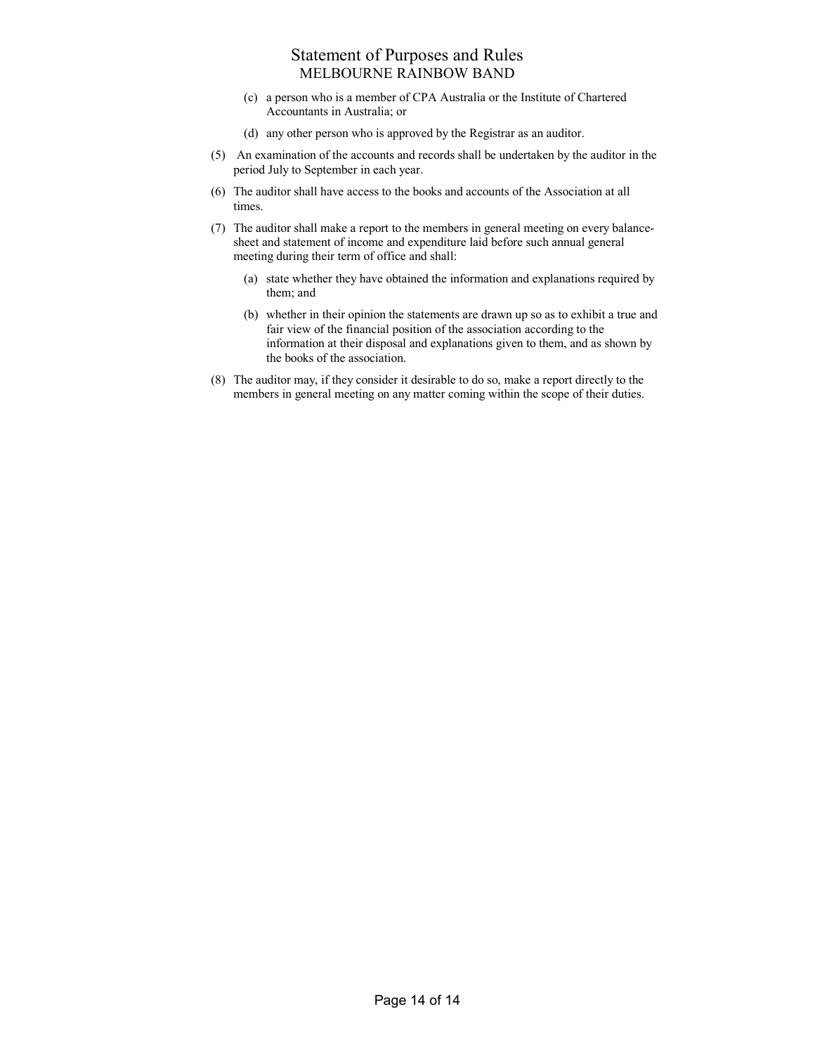- (c) a person who is a member of CPA Australia or the Institute of Chartered Accountants in Australia; or
- (d) any other person who is approved by the Registrar as an auditor.
- (5) An examination of the accounts and records shall be undertaken by the auditor in the period July to September in each year.
- (6) The auditor shall have access to the books and accounts of the Association at all times.
- (7) The auditor shall make a report to the members in general meeting on every balancesheet and statement of income and expenditure laid before such annual general meeting during their term of office and shall:
	- (a) state whether they have obtained the information and explanations required by them; and
	- (b) whether in their opinion the statements are drawn up so as to exhibit a true and fair view of the financial position of the association according to the information at their disposal and explanations given to them, and as shown by the books of the association.
- (8) The auditor may, if they consider it desirable to do so, make a report directly to the members in general meeting on any matter coming within the scope of their duties.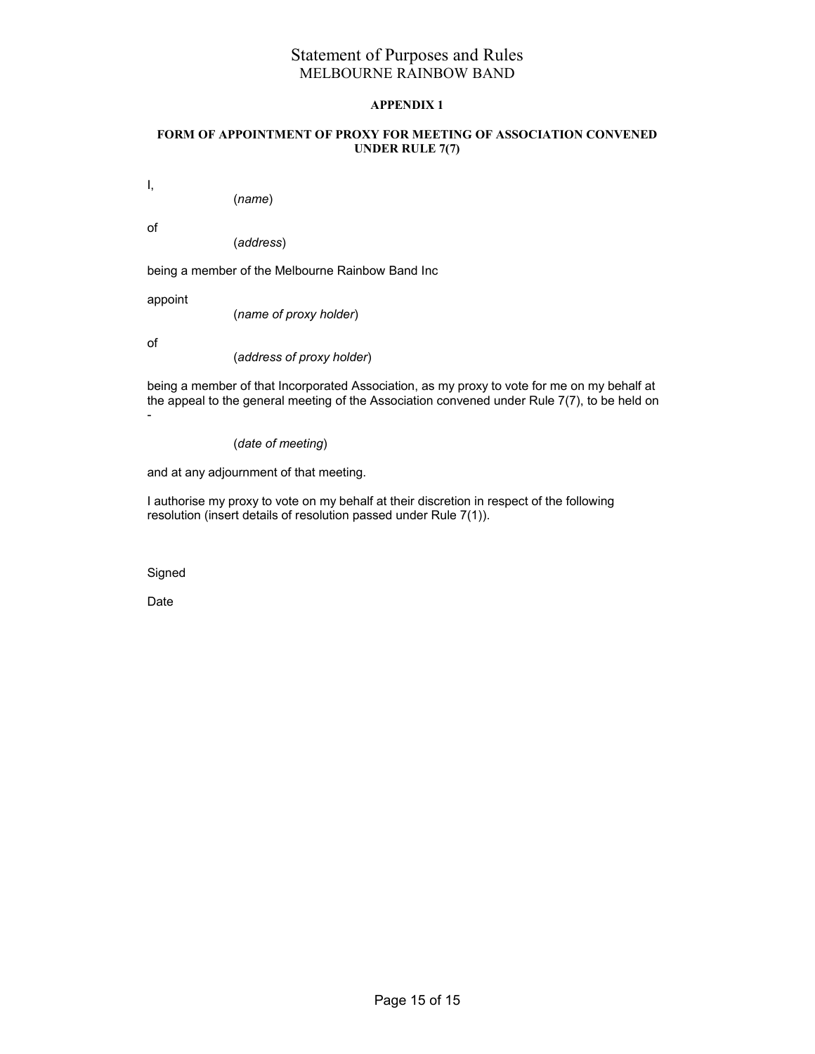### APPENDIX 1

### FORM OF APPOINTMENT OF PROXY FOR MEETING OF ASSOCIATION CONVENED UNDER RULE 7(7)

I,

(name)

of

(address)

being a member of the Melbourne Rainbow Band Inc

appoint

(name of proxy holder)

of

(address of proxy holder)

being a member of that Incorporated Association, as my proxy to vote for me on my behalf at the appeal to the general meeting of the Association convened under Rule 7(7), to be held on -

(date of meeting)

and at any adjournment of that meeting.

I authorise my proxy to vote on my behalf at their discretion in respect of the following resolution (insert details of resolution passed under Rule 7(1)).

Signed

Date